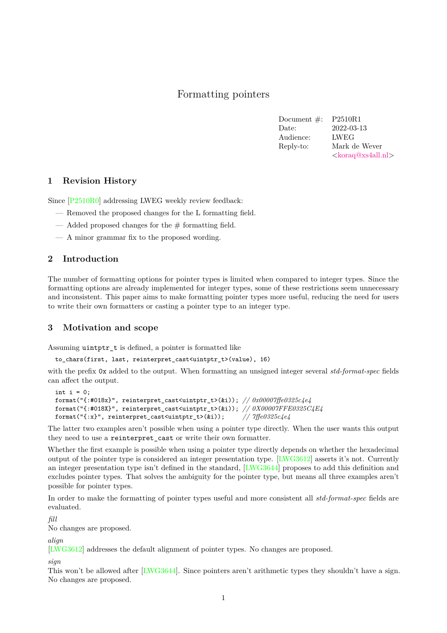# Formatting pointers

| Document $\#$ : | P2510R1                            |
|-----------------|------------------------------------|
| Date:           | 2022-03-13                         |
| Audience:       | <b>LWEG</b>                        |
| Reply-to:       | Mark de Wever                      |
|                 | $\langle koraq@xs4al.l.n! \rangle$ |

#### **1 Revision History**

Since [\[P2510R0\]](#page-2-0) addressing LWEG weekly review feedback:

- Removed the proposed changes for the L formatting field.
- $-$  Added proposed changes for the  $#$  formatting field.
- A minor grammar fix to the proposed wording.

## **2 Introduction**

The number of formatting options for pointer types is limited when compared to integer types. Since the formatting options are already implemented for integer types, some of these restrictions seem unnecessary and inconsistent. This paper aims to make formatting pointer types more useful, reducing the need for users to write their own formatters or casting a pointer type to an integer type.

## **3 Motivation and scope**

Assuming uintptr\_t is defined, a pointer is formatted like

to chars(first, last, reinterpret cast<uintptr t>(value), 16)

with the prefix 0x added to the output. When formatting an unsigned integer several *std-format-spec* fields can affect the output.

```
int i = 0:
format("{:#018x}", reinterpret_cast<uintptr_t>(&i)); // 0x00007ffe0325c4e4
format("{:#018X}", reinterpret_cast<uintptr_t>(&i)); // 0X00007FFE0325C4E4
format("{:x}", reinterpret_cast<uintptr_t>(&i)); // 7ffe0325c4e4
```
The latter two examples aren't possible when using a pointer type directly. When the user wants this output they need to use a reinterpret\_cast or write their own formatter.

Whether the first example is possible when using a pointer type directly depends on whether the hexadecimal output of the pointer type is considered an integer presentation type. [\[LWG3612\]](#page-2-1) asserts it's not. Currently an integer presentation type isn't defined in the standard, [\[LWG3644\]](#page-2-2) proposes to add this definition and excludes pointer types. That solves the ambiguity for the pointer type, but means all three examples aren't possible for pointer types.

In order to make the formatting of pointer types useful and more consistent all *std-format-spec* fields are evaluated.

*fill*

No changes are proposed.

*align*

[\[LWG3612\]](#page-2-1) addresses the default alignment of pointer types. No changes are proposed.

#### *sign*

This won't be allowed after [\[LWG3644\]](#page-2-2). Since pointers aren't arithmetic types they shouldn't have a sign. No changes are proposed.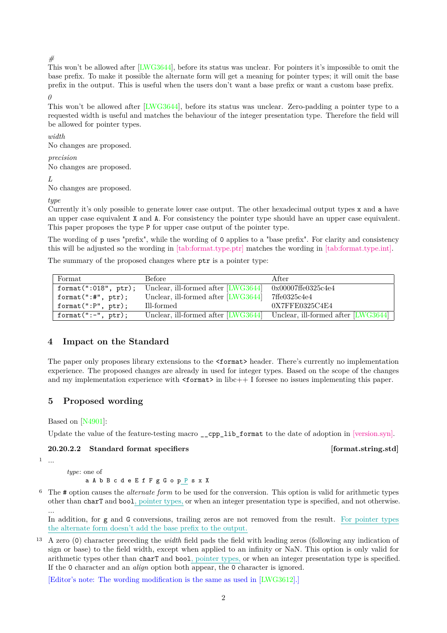*#*

This won't be allowed after [\[LWG3644\]](#page-2-2), before its status was unclear. For pointers it's impossible to omit the base prefix. To make it possible the alternate form will get a meaning for pointer types; it will omit the base prefix in the output. This is useful when the users don't want a base prefix or want a custom base prefix. *0*

This won't be allowed after [\[LWG3644\]](#page-2-2), before its status was unclear. Zero-padding a pointer type to a requested width is useful and matches the behaviour of the integer presentation type. Therefore the field will be allowed for pointer types.

### *width*

No changes are proposed.

# *precision*

No changes are proposed.

#### *L*

No changes are proposed.

### *type*

Currently it's only possible to generate lower case output. The other hexadecimal output types x and a have an upper case equivalent X and A. For consistency the pointer type should have an upper case equivalent. This paper proposes the type P for upper case output of the pointer type.

The wording of p uses "prefix", while the wording of 0 applies to a "base prefix". For clarity and consistency this will be adjusted so the wording in [\[tab:format.type.ptr\]](https://wg21.link/format#tab:format.type.ptr) matches the wording in [\[tab:format.type.int\].](https://wg21.link/format#tab:format.type.int)

The summary of the proposed changes where ptr is a pointer type:

| Format                         | Before                              | After                                                                   |
|--------------------------------|-------------------------------------|-------------------------------------------------------------------------|
| format $(":018", \text{ptr});$ | Unclear, ill-formed after [LWG3644] | 0x00007ffe0325c4e4                                                      |
| format(":#", $ptr$ );          | Unclear, ill-formed after [LWG3644] | 7ffe0325c4e4                                                            |
| format(":P", ptr);             | Ill-formed                          | 0X7FFE0325C4E4                                                          |
| format(" $:-$ ", ptr);         |                                     | Unclear, ill-formed after [LWG3644] Unclear, ill-formed after [LWG3644] |

# **4 Impact on the Standard**

The paper only proposes library extensions to the <format> header. There's currently no implementation experience. The proposed changes are already in used for integer types. Based on the scope of the changes and my implementation experience with  $\leq$  format $>$  in libc++ I foresee no issues implementing this paper.

# **5 Proposed wording**

Based on [\[N4901\]](#page-2-3):

Update the value of the feature-testing macro cpp lib format to the date of adoption in [\[version.syn\].](https://wg21.link/version.syn)

## **20.20.2.2 Standard format specifiers [format.string.std]**

```
1 \ldots
```
*type*: one of

- a A b B c d e E f F g G o p P s x X
- <sup>6</sup> The # option causes the *alternate form* to be used for the conversion. This option is valid for arithmetic types other than charT and bool, pointer types, or when an integer presentation type is specified, and not otherwise. ...

In addition, for g and G conversions, trailing zeros are not removed from the result. For pointer types the alternate form doesn't add the base prefix to the output.

<sup>13</sup> A zero (0) character preceding the *width* field pads the field with leading zeros (following any indication of sign or base) to the field width, except when applied to an infinity or NaN. This option is only valid for arithmetic types other than charT and bool, pointer types, or when an integer presentation type is specified. If the 0 character and an *align* option both appear, the 0 character is ignored.

[Editor's note: The wording modification is the same as used in [\[LWG3612\]](#page-2-1).]